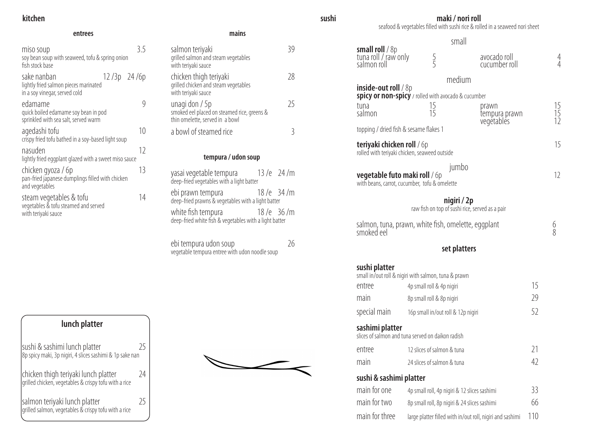# **kitchen**

## **entrees mains**

| miso soup<br>soy bean soup with seaweed, tofu & spring onion<br>fish stock base          |               | 3.5 |
|------------------------------------------------------------------------------------------|---------------|-----|
| sake nanban<br>lightly fried salmon pieces marinated<br>in a soy vinegar, served cold    | $12/3p$ 24/6p |     |
| edamame<br>quick boiled edamame soy bean in pod<br>sprinkled with sea salt, served warm  |               |     |
| agedashi tofu<br>crispy fried tofu bathed in a soy-based light soup                      |               | 10  |
| nasuden<br>lightly fried eggplant glazed with a sweet miso sauce                         |               | 12  |
| chicken gyoza / 6p<br>pan-fried japanese dumplings filled with chicken<br>and vegetables |               | 13  |
| steam vegetables & tofu<br>vegetables & tofu steamed and served<br>with teriyaki sauce   |               | 14  |

| п | aır |  |
|---|-----|--|

ebi tempura udon soup and the control of the 26 vegetable tempura entree with udon noodle soup

| salmon teriyaki<br>grilled salmon and steam vegetables<br>with teriyaki sauce                    |     |
|--------------------------------------------------------------------------------------------------|-----|
| chicken thigh teriyaki<br>grilled chicken and steam vegetables<br>with teriyaki sauce            | -78 |
| unagi don / 5p<br>smoked eel placed on steamed rice, greens &<br>thin omelette, served in a bowl | 75  |
| a bowl of steamed rice                                                                           |     |

# **tempura / udon soup**

| yasai vegetable tempura<br>deep-fried vegetables with a light batter         | $13/e$ 24/m |
|------------------------------------------------------------------------------|-------------|
| ebi prawn tempura<br>deep-fried prawns & vegetables with a light batter      | $18/e$ 34/m |
| white fish tempura<br>deep-fried white fish & vegetables with a light batter | $18/e$ 36/m |

# **maki / nori roll**

seafood & vegetables filled with sushi rice & rolled in a seaweed nori sheet

# small

| small roll / 8p<br>tuna roll / raw only<br>salmon roll                                             | 5<br>5                             | avocado roll<br>cucumber roll                                  |     | 4<br>4          |
|----------------------------------------------------------------------------------------------------|------------------------------------|----------------------------------------------------------------|-----|-----------------|
|                                                                                                    |                                    | medium                                                         |     |                 |
| <b>inside-out roll</b> $\frac{1}{8}$<br><b>spicy or non-spicy</b> / rolled with avocado & cucumber |                                    |                                                                |     |                 |
| tuna<br>salmon                                                                                     | 15<br>15                           | prawn<br>tempura prawn<br>vegétablés                           |     | $\frac{15}{15}$ |
| topping / dried fish & sesame flakes 1                                                             |                                    |                                                                |     |                 |
| <b>teriyaki chicken roll / 6p</b><br>rolled with teriyaki chicken, seaweed outside                 |                                    |                                                                |     | 15              |
| <b>vegetable futo maki roll / 6p</b><br>with beans, carrot, cucumber, tofu & omelette              |                                    | jumbo                                                          |     | 12              |
|                                                                                                    |                                    | nigiri / 2p<br>raw fish on top of sushi rice, served as a pair |     |                 |
| smoked eel                                                                                         |                                    | salmon, tuna, prawn, white fish, omelette, eggplant            |     | 6<br>8          |
|                                                                                                    |                                    | set platters                                                   |     |                 |
| sushi platter<br>small in/out roll & nigiri with salmon, tuna & prawn                              |                                    |                                                                |     |                 |
| entree                                                                                             | 4p small roll & 4p nigiri          |                                                                | 15  |                 |
| main                                                                                               | 8p small roll & 8p nigiri          |                                                                | 29  |                 |
| special main                                                                                       | 16p small in/out roll & 12p nigiri |                                                                | 52  |                 |
| sashimi platter<br>slices of salmon and tuna served on daikon radish                               |                                    |                                                                |     |                 |
| entree                                                                                             | 12 slices of salmon & tuna         |                                                                | 21  |                 |
| main                                                                                               | 24 slices of salmon & tuna         |                                                                | 42  |                 |
| sushi & sashimi platter                                                                            |                                    |                                                                |     |                 |
| main for one                                                                                       |                                    | 4p small roll, 4p nigiri & 12 slices sashimi                   | 33  |                 |
| main for two                                                                                       |                                    | 8p small roll, 8p nigiri & 24 slices sashimi                   | 66  |                 |
| main for three                                                                                     |                                    | large platter filled with in/out roll, nigiri and sashimi      | 110 |                 |

| <b>small roll</b> / 8p<br>tuna roll / raw only<br>salmon roll | $\frac{5}{5}$                                                  | avocado roll<br>cucumber roll                             |     |                |
|---------------------------------------------------------------|----------------------------------------------------------------|-----------------------------------------------------------|-----|----------------|
|                                                               |                                                                | medium                                                    |     |                |
| <b>inside-out roll</b> $/ 8p$                                 | spicy or non-spicy / rolled with avocado & cucumber            |                                                           |     |                |
| tuna<br>salmon                                                | 15<br>15                                                       | prawn<br>tempura prawn                                    |     | 15<br>15<br>12 |
| topping / dried fish & sesame flakes 1                        |                                                                | vegétablés                                                |     |                |
| <b>teriyaki chicken roll / 6p</b>                             | rolled with teriyaki chicken, seaweed outside                  |                                                           |     | 15             |
| <b>vegetable futo maki roll</b> / 6p                          | jumbo<br>with beans, carrot, cucumber, tofu & omelette         |                                                           |     | 12             |
|                                                               | nigiri / 2p<br>raw fish on top of sushi rice, served as a pair |                                                           |     |                |
| smoked eel                                                    | salmon, tuna, prawn, white fish, omelette, eggplant            |                                                           |     | 6<br>8         |
|                                                               |                                                                | set platters                                              |     |                |
| sushi platter                                                 | small in/out roll & nigiri with salmon, tuna & prawn           |                                                           |     |                |
| entree                                                        | 4p small roll & 4p nigiri                                      |                                                           | 15  |                |
| main                                                          | 8p small roll & 8p nigiri                                      |                                                           | 29  |                |
| special main                                                  | 16p small in/out roll & 12p nigiri                             |                                                           | 52  |                |
| sashimi platter                                               | slices of salmon and tuna served on daikon radish              |                                                           |     |                |
| entree                                                        | 12 slices of salmon & tuna                                     |                                                           | 21  |                |
| main                                                          | 24 slices of salmon & tuna                                     |                                                           | 42  |                |
| sushi & sashimi platter                                       |                                                                |                                                           |     |                |
| main for one                                                  | 4p small roll, 4p nigiri & 12 slices sashimi                   |                                                           | 33  |                |
| main for two                                                  | 8p small roll, 8p nigiri & 24 slices sashimi                   |                                                           | 66  |                |
| main for three                                                |                                                                | large platter filled with in/out roll, nigiri and sashimi | 110 |                |

**sushi** 

| <b>smail roll</b> / 8p<br>tuna roll / raw only<br>salmon roll | $\frac{5}{5}$                                                                     | avocado roll<br>cucumber roll                             |     | 4              |
|---------------------------------------------------------------|-----------------------------------------------------------------------------------|-----------------------------------------------------------|-----|----------------|
|                                                               | medium                                                                            |                                                           |     |                |
| <b>inside-out roll</b> $/ 8p$                                 | spicy or non-spicy / rolled with avocado & cucumber                               |                                                           |     |                |
| tuna<br>salmon                                                | 15<br>15                                                                          | prawn<br>tempura prawn<br>vegétablés                      |     | 15<br>15<br>12 |
| topping / dried fish & sesame flakes 1                        |                                                                                   |                                                           |     |                |
| <b>teriyaki chicken roll / 6p</b>                             | rolled with teriyaki chicken, seaweed outside                                     |                                                           |     | 15             |
| <b>vegetable futo maki roll / 6p</b>                          | jumbo<br>with beans, carrot, cucumber, tofu & omelette                            |                                                           |     | 12             |
|                                                               | nigiri / 2p<br>raw fish on top of sushi rice, served as a pair                    |                                                           |     |                |
| smoked eel                                                    | salmon, tuna, prawn, white fish, omelette, eggplant                               |                                                           |     | 6<br>8         |
|                                                               |                                                                                   | set platters                                              |     |                |
| sushi platter<br>entree                                       | small in/out roll & nigiri with salmon, tuna & prawn<br>4p small roll & 4p nigiri |                                                           | 15  |                |
| main                                                          | 8p small roll & 8p nigiri                                                         |                                                           | 29  |                |
| special main                                                  | 16p small in/out roll & 12p nigiri                                                |                                                           | 52  |                |
| sashimi platter                                               | slices of salmon and tuna served on daikon radish                                 |                                                           |     |                |
| entree                                                        | 12 slices of salmon & tuna                                                        |                                                           | 21  |                |
| main                                                          | 24 slices of salmon & tuna                                                        |                                                           | 42  |                |
| sushi & sashimi platter                                       |                                                                                   |                                                           |     |                |
| main for one                                                  | 4p small roll, 4p nigiri & 12 slices sashimi                                      |                                                           | 33  |                |
| main for two                                                  | 8p small roll, 8p nigiri & 24 slices sashimi                                      |                                                           | 66  |                |
| main for three                                                |                                                                                   | large platter filled with in/out roll, nigiri and sashimi | 110 |                |

| lunch platter                                                                             |  |
|-------------------------------------------------------------------------------------------|--|
| sushi & sashimi lunch platter<br>8p spicy maki, 3p nigiri, 4 slices sashimi & 1p sake nan |  |
| lchicken thigh terivaki lunch platter                                                     |  |

| pushi w sashini tunch piattei<br>8p spicy maki, 3p nigiri, 4 slices sashimi & 1p sake nan     |    |
|-----------------------------------------------------------------------------------------------|----|
| chicken thigh teriyaki lunch platter<br>grilled chicken, vegetables & crispy tofu with a rice | 24 |
| salmon teriyaki lunch platter<br>grilled salmon, vegetables & crispy tofu with a rice         | 25 |